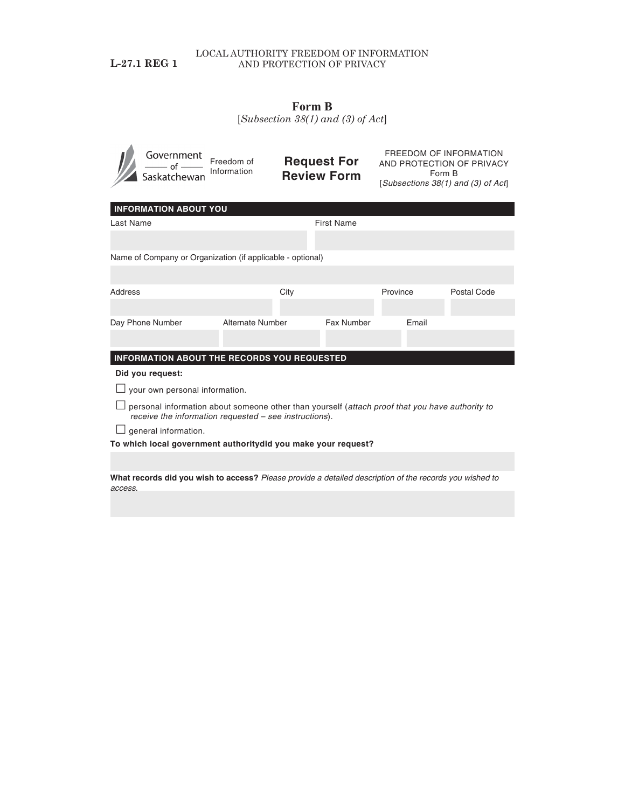## LOCAL AUTHORITY FREEDOM OF INFORMATION L-27.1 REG 1 AND PROTECTION OF PRIVACY

## **Form B**

[*Subsection 38(1) and (3) of Act*]

|                                                                                                                                                           | Government<br>Saskatchewan | Freedom of<br>Information | <b>Request For</b><br><b>Review Form</b> |                   | FREEDOM OF INFORMATION<br>AND PROTECTION OF PRIVACY<br>Form B<br>[Subsections 38(1) and (3) of Act] |             |  |  |
|-----------------------------------------------------------------------------------------------------------------------------------------------------------|----------------------------|---------------------------|------------------------------------------|-------------------|-----------------------------------------------------------------------------------------------------|-------------|--|--|
| <b>INFORMATION ABOUT YOU</b>                                                                                                                              |                            |                           |                                          |                   |                                                                                                     |             |  |  |
| <b>Last Name</b>                                                                                                                                          |                            |                           |                                          | <b>First Name</b> |                                                                                                     |             |  |  |
|                                                                                                                                                           |                            |                           |                                          |                   |                                                                                                     |             |  |  |
| Name of Company or Organization (if applicable - optional)                                                                                                |                            |                           |                                          |                   |                                                                                                     |             |  |  |
|                                                                                                                                                           |                            |                           |                                          |                   |                                                                                                     |             |  |  |
| Address                                                                                                                                                   |                            | City                      |                                          | Province          |                                                                                                     | Postal Code |  |  |
|                                                                                                                                                           |                            |                           |                                          |                   |                                                                                                     |             |  |  |
|                                                                                                                                                           | Day Phone Number           | <b>Alternate Number</b>   |                                          | Fax Number        | Email                                                                                               |             |  |  |
|                                                                                                                                                           |                            |                           |                                          |                   |                                                                                                     |             |  |  |
| INFORMATION ABOUT THE RECORDS YOU REQUESTED                                                                                                               |                            |                           |                                          |                   |                                                                                                     |             |  |  |
| Did you request:                                                                                                                                          |                            |                           |                                          |                   |                                                                                                     |             |  |  |
| your own personal information.                                                                                                                            |                            |                           |                                          |                   |                                                                                                     |             |  |  |
| personal information about someone other than yourself (attach proof that you have authority to<br>receive the information requested - see instructions). |                            |                           |                                          |                   |                                                                                                     |             |  |  |
| general information.                                                                                                                                      |                            |                           |                                          |                   |                                                                                                     |             |  |  |
| To which local government authoritydid you make your request?                                                                                             |                            |                           |                                          |                   |                                                                                                     |             |  |  |
|                                                                                                                                                           |                            |                           |                                          |                   |                                                                                                     |             |  |  |

**What records did you wish to access?** *Please provide a detailed description of the records you wished to access.*